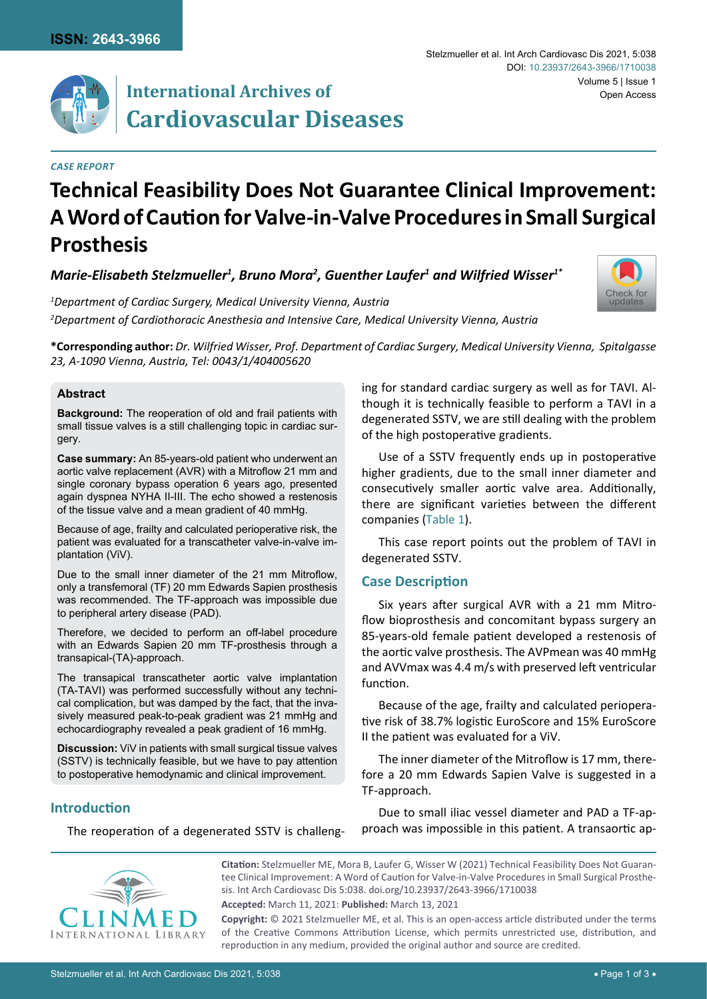

#### *Case Report*

#### Stelzmueller et al. Int Arch Cardiovasc Dis 2021, 5:038 Volume 5 | Issue 1 DOI: [10.23937/2643-3966/1710038](https://doi.org/10.23937/2643-3966/1710038) Open Access



 $\bm{\mathsf{Marie\text{-}E}}$ lisabeth Stelzmueller $^{\text{1}}$ , Bruno Mora $^{\text{2}}$ , Guenther Laufer $^{\text{1}}$  and Wilfried Wisser $^{\text{1}}$ \*

*1 Department of Cardiac Surgery, Medical University Vienna, Austria 2 Department of Cardiothoracic Anesthesia and Intensive Care, Medical University Vienna, Austria*



**\*Corresponding author:** *Dr. Wilfried Wisser, Prof. Department of Cardiac Surgery, Medical University Vienna, Spitalgasse 23, A-1090 Vienna, Austria, Tel: 0043/1/404005620*

#### **Abstract**

**Background:** The reoperation of old and frail patients with small tissue valves is a still challenging topic in cardiac surgery.

**Case summary:** An 85-years-old patient who underwent an aortic valve replacement (AVR) with a Mitroflow 21 mm and single coronary bypass operation 6 years ago, presented again dyspnea NYHA II-III. The echo showed a restenosis of the tissue valve and a mean gradient of 40 mmHg.

Because of age, frailty and calculated perioperative risk, the patient was evaluated for a transcatheter valve-in-valve implantation (ViV).

Due to the small inner diameter of the 21 mm Mitroflow, only a transfemoral (TF) 20 mm Edwards Sapien prosthesis was recommended. The TF-approach was impossible due to peripheral artery disease (PAD).

Therefore, we decided to perform an off-label procedure with an Edwards Sapien 20 mm TF-prosthesis through a transapical-(TA)-approach.

The transapical transcatheter aortic valve implantation (TA-TAVI) was performed successfully without any technical complication, but was damped by the fact, that the invasively measured peak-to-peak gradient was 21 mmHg and echocardiography revealed a peak gradient of 16 mmHg.

**Discussion:** ViV in patients with small surgical tissue valves (SSTV) is technically feasible, but we have to pay attention to postoperative hemodynamic and clinical improvement.

ing for standard cardiac surgery as well as for TAVI. Although it is technically feasible to perform a TAVI in a degenerated SSTV, we are still dealing with the problem of the high postoperative gradients.

Use of a SSTV frequently ends up in postoperative higher gradients, due to the small inner diameter and consecutively smaller aortic valve area. Additionally, there are significant varieties between the different companies ([Table 1](#page-1-0)).

This case report points out the problem of TAVI in degenerated SSTV.

## **Case Description**

Six years after surgical AVR with a 21 mm Mitroflow bioprosthesis and concomitant bypass surgery an 85-years-old female patient developed a restenosis of the aortic valve prosthesis. The AVPmean was 40 mmHg and AVVmax was 4.4 m/s with preserved left ventricular function.

Because of the age, frailty and calculated perioperative risk of 38.7% logistic EuroScore and 15% EuroScore II the patient was evaluated for a ViV.

The inner diameter of the Mitroflow is 17 mm, therefore a 20 mm Edwards Sapien Valve is suggested in a TF-approach.

# **Introduction**

The reoperation of a degenerated SSTV is challeng-

Due to small iliac vessel diameter and PAD a TF-approach was impossible in this patient. A transaortic ap-



**Citation:** Stelzmueller ME, Mora B, Laufer G, Wisser W (2021) Technical Feasibility Does Not Guarantee Clinical Improvement: A Word of Caution for Valve-in-Valve Procedures in Small Surgical Prosthesis. Int Arch Cardiovasc Dis 5:038. [doi.org/10.23937/2643-3966/1710038](https://doi.org/10.23937/2643-3966/1710038)

**Accepted:** March 11, 2021: **Published:** March 13, 2021

**Copyright:** © 2021 Stelzmueller ME, et al. This is an open-access article distributed under the terms of the Creative Commons Attribution License, which permits unrestricted use, distribution, and reproduction in any medium, provided the original author and source are credited.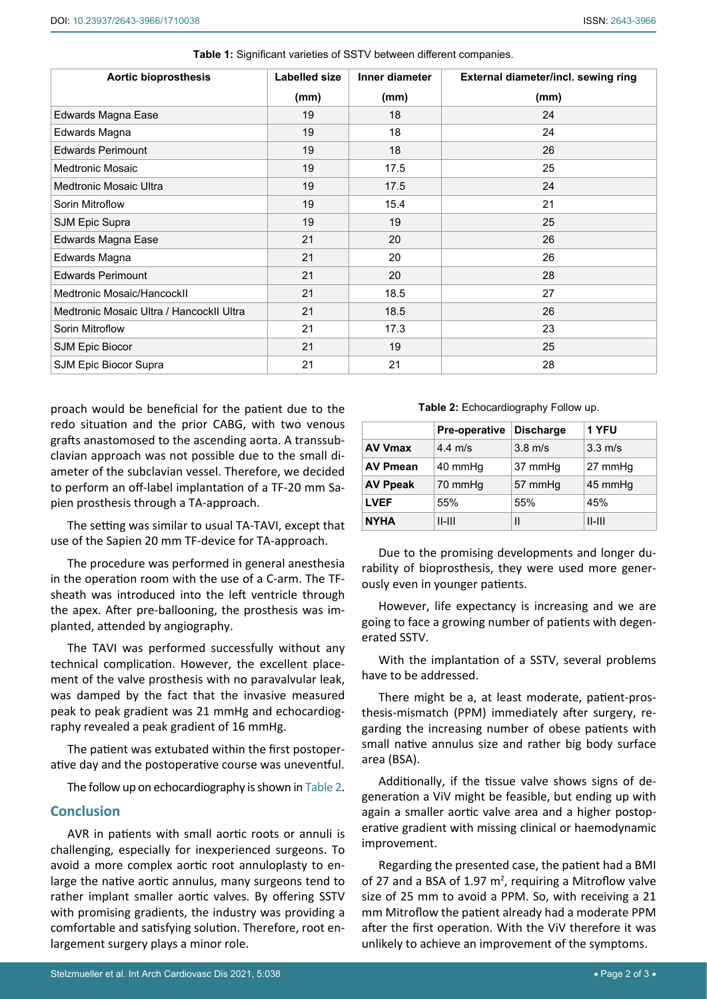| <b>Aortic bioprosthesis</b>              | <b>Labelled size</b> | Inner diameter | External diameter/incl. sewing ring |
|------------------------------------------|----------------------|----------------|-------------------------------------|
|                                          | (mm)                 | (mm)           | (mm)                                |
| Edwards Magna Ease                       | 19                   | 18             | 24                                  |
| Edwards Magna                            | 19                   | 18             | 24                                  |
| <b>Edwards Perimount</b>                 | 19                   | 18             | 26                                  |
| Medtronic Mosaic                         | 19                   | 17.5           | 25                                  |
| <b>Medtronic Mosaic Ultra</b>            | 19                   | 17.5           | 24                                  |
| Sorin Mitroflow                          | 19                   | 15.4           | 21                                  |
| <b>SJM Epic Supra</b>                    | 19                   | 19             | 25                                  |
| Edwards Magna Ease                       | 21                   | 20             | 26                                  |
| Edwards Magna                            | 21                   | 20             | 26                                  |
| <b>Edwards Perimount</b>                 | 21                   | 20             | 28                                  |
| Medtronic Mosaic/HancockII               | 21                   | 18.5           | 27                                  |
| Medtronic Mosaic Ultra / HancockII Ultra | 21                   | 18.5           | 26                                  |
| Sorin Mitroflow                          | 21                   | 17.3           | 23                                  |
| SJM Epic Biocor                          | 21                   | 19             | 25                                  |
| SJM Epic Biocor Supra                    | 21                   | 21             | 28                                  |

<span id="page-1-0"></span>**Table 1:** Significant varieties of SSTV between different companies.

proach would be beneficial for the patient due to the redo situation and the prior CABG, with two venous grafts anastomosed to the ascending aorta. A transsubclavian approach was not possible due to the small diameter of the subclavian vessel. Therefore, we decided to perform an off-label implantation of a TF-20 mm Sapien prosthesis through a TA-approach.

The setting was similar to usual TA-TAVI, except that use of the Sapien 20 mm TF-device for TA-approach.

The procedure was performed in general anesthesia in the operation room with the use of a C-arm. The TFsheath was introduced into the left ventricle through the apex. After pre-ballooning, the prosthesis was implanted, attended by angiography.

The TAVI was performed successfully without any technical complication. However, the excellent placement of the valve prosthesis with no paravalvular leak, was damped by the fact that the invasive measured peak to peak gradient was 21 mmHg and echocardiography revealed a peak gradient of 16 mmHg.

The patient was extubated within the first postoperative day and the postoperative course was uneventful.

The follow up on echocardiography is shown in [Table 2.](#page-1-1)

## **Conclusion**

AVR in patients with small aortic roots or annuli is challenging, especially for inexperienced surgeons. To avoid a more complex aortic root annuloplasty to enlarge the native aortic annulus, many surgeons tend to rather implant smaller aortic valves. By offering SSTV with promising gradients, the industry was providing a comfortable and satisfying solution. Therefore, root enlargement surgery plays a minor role.

<span id="page-1-1"></span>**Table 2:** Echocardiography Follow up.

|                 | <b>Pre-operative</b> | <b>Discharge</b>  | 1 YFU             |
|-----------------|----------------------|-------------------|-------------------|
| <b>AV Vmax</b>  | $4.4 \text{ m/s}$    | $3.8 \text{ m/s}$ | $3.3 \text{ m/s}$ |
| <b>AV Pmean</b> | 40 mmHq              | 37 mmHg           | 27 mmHg           |
| <b>AV Ppeak</b> | 70 mmHg              | 57 mmHg           | 45 mmHg           |
| <b>LVEF</b>     | 55%                  | 55%               | 45%               |
| <b>NYHA</b>     | $II-III$             | $\mathsf{II}$     | $II$ - $III$      |

Due to the promising developments and longer durability of bioprosthesis, they were used more generously even in younger patients.

However, life expectancy is increasing and we are going to face a growing number of patients with degenerated SSTV.

With the implantation of a SSTV, several problems have to be addressed.

There might be a, at least moderate, patient-prosthesis-mismatch (PPM) immediately after surgery, regarding the increasing number of obese patients with small native annulus size and rather big body surface area (BSA).

Additionally, if the tissue valve shows signs of degeneration a ViV might be feasible, but ending up with again a smaller aortic valve area and a higher postoperative gradient with missing clinical or haemodynamic improvement.

Regarding the presented case, the patient had a BMI of 27 and a BSA of 1.97  $m^2$ , requiring a Mitroflow valve size of 25 mm to avoid a PPM. So, with receiving a 21 mm Mitroflow the patient already had a moderate PPM after the first operation. With the ViV therefore it was unlikely to achieve an improvement of the symptoms.